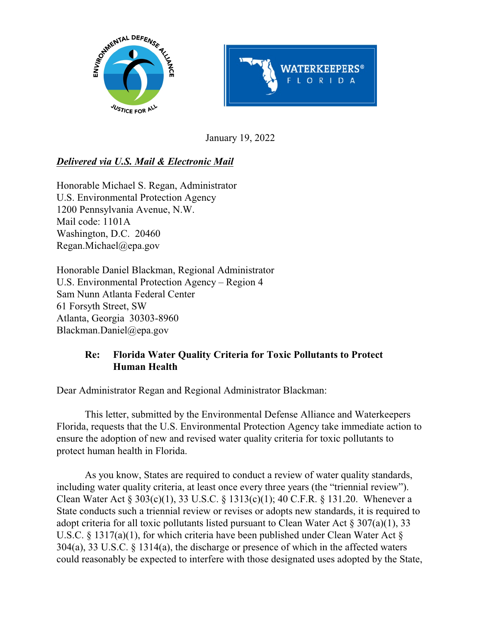



January 19, 2022

# *Delivered via U.S. Mail & Electronic Mail*

Honorable Michael S. Regan, Administrator U.S. Environmental Protection Agency 1200 Pennsylvania Avenue, N.W. Mail code: 1101A Washington, D.C. 20460 Regan.Michael@epa.gov

Honorable Daniel Blackman, Regional Administrator U.S. Environmental Protection Agency – Region 4 Sam Nunn Atlanta Federal Center 61 Forsyth Street, SW Atlanta, Georgia 30303-8960 Blackman.Daniel@epa.gov

# **Re: Florida Water Quality Criteria for Toxic Pollutants to Protect Human Health**

Dear Administrator Regan and Regional Administrator Blackman:

This letter, submitted by the Environmental Defense Alliance and Waterkeepers Florida, requests that the U.S. Environmental Protection Agency take immediate action to ensure the adoption of new and revised water quality criteria for toxic pollutants to protect human health in Florida.

As you know, States are required to conduct a review of water quality standards, including water quality criteria, at least once every three years (the "triennial review"). Clean Water Act § 303(c)(1), 33 U.S.C. § 1313(c)(1); 40 C.F.R. § 131.20. Whenever a State conducts such a triennial review or revises or adopts new standards, it is required to adopt criteria for all toxic pollutants listed pursuant to Clean Water Act § 307(a)(1), 33 U.S.C. § 1317(a)(1), for which criteria have been published under Clean Water Act § 304(a), 33 U.S.C. § 1314(a), the discharge or presence of which in the affected waters could reasonably be expected to interfere with those designated uses adopted by the State,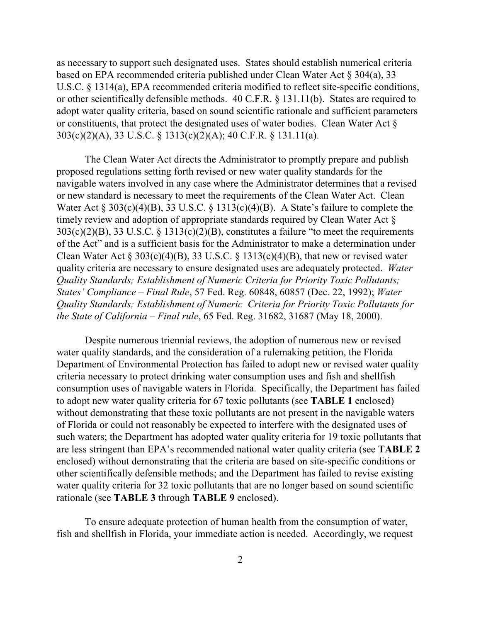as necessary to support such designated uses. States should establish numerical criteria based on EPA recommended criteria published under Clean Water Act § 304(a), 33 U.S.C. § 1314(a), EPA recommended criteria modified to reflect site-specific conditions, or other scientifically defensible methods. 40 C.F.R. § 131.11(b). States are required to adopt water quality criteria, based on sound scientific rationale and sufficient parameters or constituents, that protect the designated uses of water bodies. Clean Water Act § 303(c)(2)(A), 33 U.S.C. § 1313(c)(2)(A); 40 C.F.R. § 131.11(a).

The Clean Water Act directs the Administrator to promptly prepare and publish proposed regulations setting forth revised or new water quality standards for the navigable waters involved in any case where the Administrator determines that a revised or new standard is necessary to meet the requirements of the Clean Water Act. Clean Water Act § 303(c)(4)(B), 33 U.S.C. § 1313(c)(4)(B). A State's failure to complete the timely review and adoption of appropriate standards required by Clean Water Act §  $303(c)(2)(B)$ , 33 U.S.C. § 1313(c)(2)(B), constitutes a failure "to meet the requirements of the Act" and is a sufficient basis for the Administrator to make a determination under Clean Water Act  $\S 303(c)(4)(B)$ , 33 U.S.C.  $\S 1313(c)(4)(B)$ , that new or revised water quality criteria are necessary to ensure designated uses are adequately protected. *Water Quality Standards; Establishment of Numeric Criteria for Priority Toxic Pollutants; States' Compliance – Final Rule*, 57 Fed. Reg. 60848, 60857 (Dec. 22, 1992); *Water Quality Standards; Establishment of Numeric Criteria for Priority Toxic Pollutants for the State of California – Final rule*, 65 Fed. Reg. 31682, 31687 (May 18, 2000).

Despite numerous triennial reviews, the adoption of numerous new or revised water quality standards, and the consideration of a rulemaking petition, the Florida Department of Environmental Protection has failed to adopt new or revised water quality criteria necessary to protect drinking water consumption uses and fish and shellfish consumption uses of navigable waters in Florida. Specifically, the Department has failed to adopt new water quality criteria for 67 toxic pollutants (see **TABLE 1** enclosed) without demonstrating that these toxic pollutants are not present in the navigable waters of Florida or could not reasonably be expected to interfere with the designated uses of such waters; the Department has adopted water quality criteria for 19 toxic pollutants that are less stringent than EPA's recommended national water quality criteria (see **TABLE 2** enclosed) without demonstrating that the criteria are based on site-specific conditions or other scientifically defensible methods; and the Department has failed to revise existing water quality criteria for 32 toxic pollutants that are no longer based on sound scientific rationale (see **TABLE 3** through **TABLE 9** enclosed).

To ensure adequate protection of human health from the consumption of water, fish and shellfish in Florida, your immediate action is needed. Accordingly, we request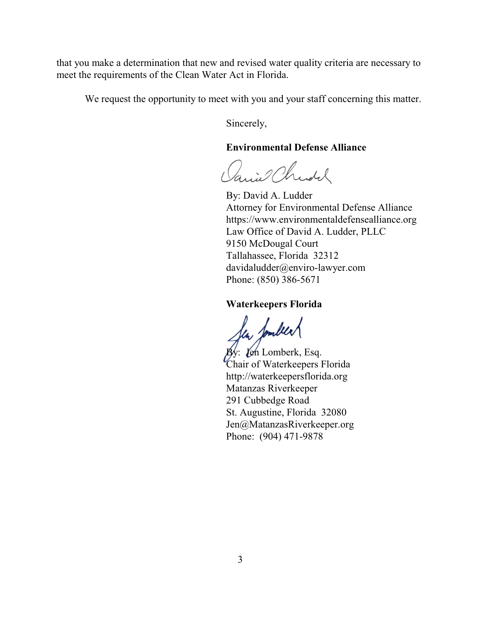that you make a determination that new and revised water quality criteria are necessary to meet the requirements of the Clean Water Act in Florida.

We request the opportunity to meet with you and your staff concerning this matter.

Sincerely,

### **Environmental Defense Alliance**

Janiel Christ

By: David A. Ludder Attorney for Environmental Defense Alliance https://www.environmentaldefensealliance.org Law Office of David A. Ludder, PLLC 9150 McDougal Court Tallahassee, Florida 32312 davidaludder@enviro-lawyer.com Phone: (850) 386-5671

### **Waterkeepers Florida**

fer fondeer<br>by: Jen Lomberk, Esq.

Chair of Waterkeepers Florida http://waterkeepersflorida.org Matanzas Riverkeeper 291 Cubbedge Road St. Augustine, Florida 32080 Jen@MatanzasRiverkeeper.org Phone: (904) 471-9878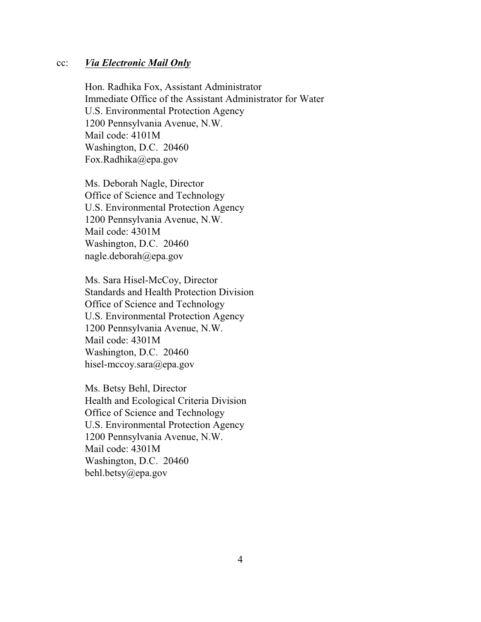#### cc: *Via Electronic Mail Only*

Hon. Radhika Fox, Assistant Administrator Immediate Office of the Assistant Administrator for Water U.S. Environmental Protection Agency 1200 Pennsylvania Avenue, N.W. Mail code: 4101M Washington, D.C. 20460 Fox.Radhika@epa.gov

Ms. Deborah Nagle, Director Office of Science and Technology U.S. Environmental Protection Agency 1200 Pennsylvania Avenue, N.W. Mail code: 4301M Washington, D.C. 20460 nagle.deborah@epa.gov

Ms. Sara Hisel-McCoy, Director Standards and Health Protection Division Office of Science and Technology U.S. Environmental Protection Agency 1200 Pennsylvania Avenue, N.W. Mail code: 4301M Washington, D.C. 20460 hisel-mccoy.sara@epa.gov

Ms. Betsy Behl, Director Health and Ecological Criteria Division Office of Science and Technology U.S. Environmental Protection Agency 1200 Pennsylvania Avenue, N.W. Mail code: 4301M Washington, D.C. 20460 behl.betsy@epa.gov